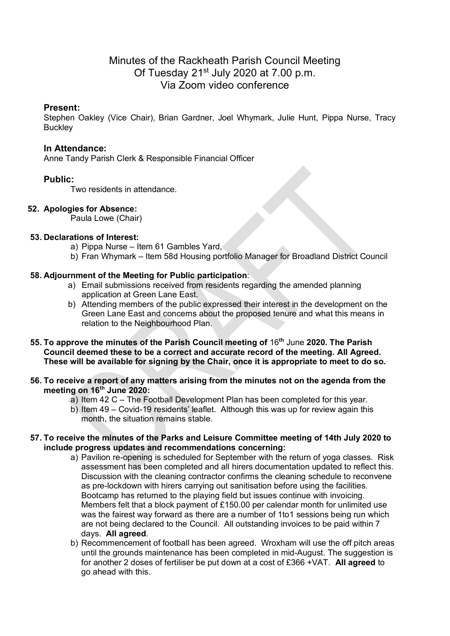# Minutes of the Rackheath Parish Council Meeting Of Tuesday 21<sup>st</sup> July 2020 at 7.00 p.m. Via Zoom video conference

## **Present:**

Stephen Oakley (Vice Chair), Brian Gardner, Joel Whymark, Julie Hunt, Pippa Nurse, Tracy **Buckley** 

## **In Attendance:**

Anne Tandy Parish Clerk & Responsible Financial Officer

# **Public:**

Two residents in attendance.

# **52. Apologies for Absence:**

Paula Lowe (Chair)

## **53. Declarations of Interest:**

- a) Pippa Nurse Item 61 Gambles Yard,
- b) Fran Whymark Item 58d Housing portfolio Manager for Broadland District Council

# **58. Adjournment of the Meeting for Public participation**:

- a) Email submissions received from residents regarding the amended planning application at Green Lane East.
- b) Attending members of the public expressed their interest in the development on the Green Lane East and concerns about the proposed tenure and what this means in relation to the Neighbourhood Plan.
- **55. To approve the minutes of the Parish Council meeting of** 16**th** June **2020. The Parish Council deemed these to be a correct and accurate record of the meeting. All Agreed. These will be available for signing by the Chair, once it is appropriate to meet to do so.**

#### **56. To receive a report of any matters arising from the minutes not on the agenda from the meeting on 16th June 2020:**

- a) Item 42 C The Football Development Plan has been completed for this year.
- b) Item 49 Covid-19 residents' leaflet. Although this was up for review again this month, the situation remains stable.

#### **57. To receive the minutes of the Parks and Leisure Committee meeting of 14th July 2020 to include progress updates and recommendations concerning:**

- a) Pavilion re-opening is scheduled for September with the return of yoga classes. Risk assessment has been completed and all hirers documentation updated to reflect this. Discussion with the cleaning contractor confirms the cleaning schedule to reconvene as pre-lockdown with hirers carrying out sanitisation before using the facilities. Bootcamp has returned to the playing field but issues continue with invoicing. Members felt that a block payment of £150.00 per calendar month for unlimited use was the fairest way forward as there are a number of 1to1 sessions being run which are not being declared to the Council. All outstanding invoices to be paid within 7 days. **All agreed**.
- b) Recommencement of football has been agreed. Wroxham will use the off pitch areas until the grounds maintenance has been completed in mid-August. The suggestion is for another 2 doses of fertiliser be put down at a cost of £366 +VAT. **All agreed** to go ahead with this.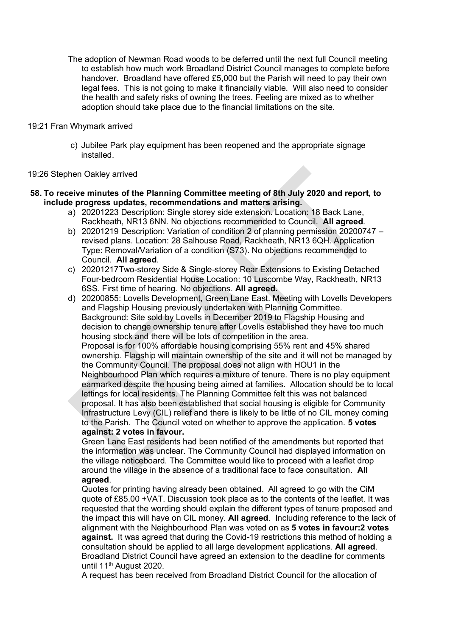The adoption of Newman Road woods to be deferred until the next full Council meeting to establish how much work Broadland District Council manages to complete before handover. Broadland have offered £5,000 but the Parish will need to pay their own legal fees. This is not going to make it financially viable. Will also need to consider the health and safety risks of owning the trees. Feeling are mixed as to whether adoption should take place due to the financial limitations on the site.

#### 19:21 Fran Whymark arrived

c) Jubilee Park play equipment has been reopened and the appropriate signage installed.

#### 19:26 Stephen Oakley arrived

#### **58. To receive minutes of the Planning Committee meeting of 8th July 2020 and report, to include progress updates, recommendations and matters arising.**

- a) 20201223 Description: Single storey side extension. Location: 18 Back Lane, Rackheath, NR13 6NN. No objections recommended to Council. **All agreed**.
- b) 20201219 Description: Variation of condition 2 of planning permission 20200747 revised plans. Location: 28 Salhouse Road, Rackheath, NR13 6QH. Application Type: Removal/Variation of a condition (S73). No objections recommended to Council. **All agreed**.
- c) 20201217Two-storey Side & Single-storey Rear Extensions to Existing Detached Four-bedroom Residential House Location: 10 Luscombe Way, Rackheath, NR13 6SS. First time of hearing. No objections. **All agreed.**
- d) 20200855: Lovells Development, Green Lane East. Meeting with Lovells Developers and Flagship Housing previously undertaken with Planning Committee. Background: Site sold by Lovells in December 2019 to Flagship Housing and decision to change ownership tenure after Lovells established they have too much housing stock and there will be lots of competition in the area. Proposal is for 100% affordable housing comprising 55% rent and 45% shared ownership. Flagship will maintain ownership of the site and it will not be managed by the Community Council. The proposal does not align with HOU1 in the Neighbourhood Plan which requires a mixture of tenure. There is no play equipment earmarked despite the housing being aimed at families. Allocation should be to local lettings for local residents. The Planning Committee felt this was not balanced proposal. It has also been established that social housing is eligible for Community Infrastructure Levy (CIL) relief and there is likely to be little of no CIL money coming to the Parish. The Council voted on whether to approve the application. **5 votes against: 2 votes in favour.**

Green Lane East residents had been notified of the amendments but reported that the information was unclear. The Community Council had displayed information on the village noticeboard. The Committee would like to proceed with a leaflet drop around the village in the absence of a traditional face to face consultation. **All agreed**.

Quotes for printing having already been obtained. All agreed to go with the CiM quote of £85.00 +VAT. Discussion took place as to the contents of the leaflet. It was requested that the wording should explain the different types of tenure proposed and the impact this will have on CIL money. **All agreed**. Including reference to the lack of alignment with the Neighbourhood Plan was voted on as **5 votes in favour:2 votes against.** It was agreed that during the Covid-19 restrictions this method of holding a consultation should be applied to all large development applications. **All agreed**. Broadland District Council have agreed an extension to the deadline for comments until 11<sup>th</sup> August 2020.

A request has been received from Broadland District Council for the allocation of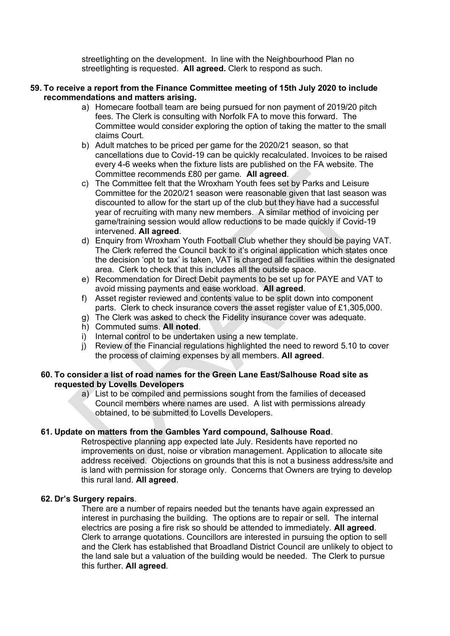streetlighting on the development. In line with the Neighbourhood Plan no streetlighting is requested. **All agreed.** Clerk to respond as such.

#### **59. To receive a report from the Finance Committee meeting of 15th July 2020 to include recommendations and matters arising.**

- a) Homecare football team are being pursued for non payment of 2019/20 pitch fees. The Clerk is consulting with Norfolk FA to move this forward. The Committee would consider exploring the option of taking the matter to the small claims Court.
- b) Adult matches to be priced per game for the 2020/21 season, so that cancellations due to Covid-19 can be quickly recalculated. Invoices to be raised every 4-6 weeks when the fixture lists are published on the FA website. The Committee recommends £80 per game. **All agreed**.
- c) The Committee felt that the Wroxham Youth fees set by Parks and Leisure Committee for the 2020/21 season were reasonable given that last season was discounted to allow for the start up of the club but they have had a successful year of recruiting with many new members. A similar method of invoicing per game/training session would allow reductions to be made quickly if Covid-19 intervened. **All agreed**.
- d) Enquiry from Wroxham Youth Football Club whether they should be paying VAT. The Clerk referred the Council back to it's original application which states once the decision 'opt to tax' is taken, VAT is charged all facilities within the designated area. Clerk to check that this includes all the outside space.
- e) Recommendation for Direct Debit payments to be set up for PAYE and VAT to avoid missing payments and ease workload. **All agreed**.
- f) Asset register reviewed and contents value to be split down into component parts. Clerk to check insurance covers the asset register value of £1,305,000.
- g) The Clerk was asked to check the Fidelity insurance cover was adequate.
- h) Commuted sums. **All noted**.
- i) Internal control to be undertaken using a new template.
- j) Review of the Financial regulations highlighted the need to reword 5.10 to cover the process of claiming expenses by all members. **All agreed**.

#### **60. To consider a list of road names for the Green Lane East/Salhouse Road site as requested by Lovells Developers**

a) List to be compiled and permissions sought from the families of deceased Council members where names are used. A list with permissions already obtained, to be submitted to Lovells Developers.

#### **61. Update on matters from the Gambles Yard compound, Salhouse Road**.

Retrospective planning app expected late July. Residents have reported no improvements on dust, noise or vibration management. Application to allocate site address received. Objections on grounds that this is not a business address/site and is land with permission for storage only. Concerns that Owners are trying to develop this rural land. **All agreed**.

#### **62. Dr's Surgery repairs**.

There are a number of repairs needed but the tenants have again expressed an interest in purchasing the building. The options are to repair or sell. The internal electrics are posing a fire risk so should be attended to immediately. **All agreed**. Clerk to arrange quotations. Councillors are interested in pursuing the option to sell and the Clerk has established that Broadland District Council are unlikely to object to the land sale but a valuation of the building would be needed. The Clerk to pursue this further. **All agreed**.